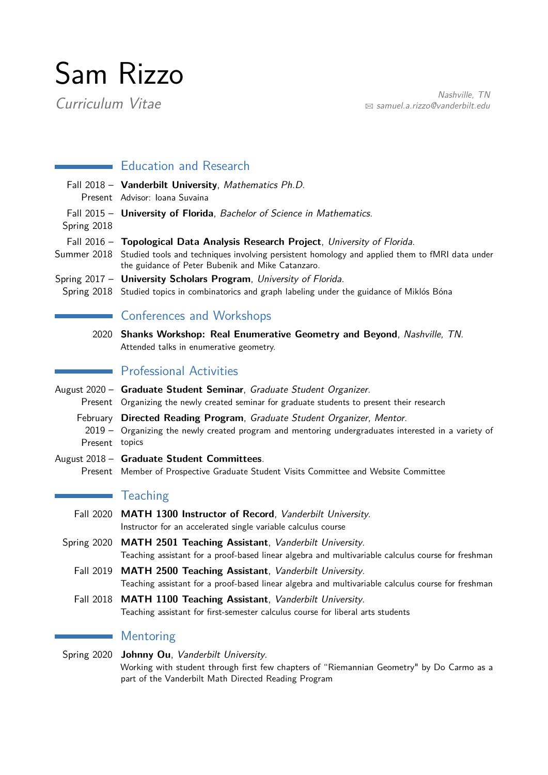## Sam Rizzo

Nashville, TN<br>Curriculum Vitae  $\sum_{n=1}^{\infty}$  Samuel.a.rizzo@vanderbilt.edu B [samuel.a.rizzo@vanderbilt.edu](mailto:samuel.a.rizzo@vanderbilt.edu)

| $\sim 10$        | <b>Education and Research</b>                                                                                                                                                                                                                     |
|------------------|---------------------------------------------------------------------------------------------------------------------------------------------------------------------------------------------------------------------------------------------------|
|                  | Fall 2018 - Vanderbilt University, Mathematics Ph.D.<br>Present Advisor: Ioana Suvaina                                                                                                                                                            |
| Spring 2018      | Fall 2015 - University of Florida, Bachelor of Science in Mathematics.                                                                                                                                                                            |
|                  | Fall 2016 - Topological Data Analysis Research Project, University of Florida.<br>Summer 2018 Studied tools and techniques involving persistent homology and applied them to fMRI data under<br>the guidance of Peter Bubenik and Mike Catanzaro. |
|                  | Spring 2017 - University Scholars Program, University of Florida.<br>Spring 2018 Studied topics in combinatorics and graph labeling under the guidance of Miklós Bóna                                                                             |
|                  | <b>Conferences and Workshops</b>                                                                                                                                                                                                                  |
|                  | 2020 Shanks Workshop: Real Enumerative Geometry and Beyond, Nashville, TN.<br>Attended talks in enumerative geometry.                                                                                                                             |
|                  | <b>Professional Activities</b>                                                                                                                                                                                                                    |
|                  | August 2020 - Graduate Student Seminar, Graduate Student Organizer.<br>Present Organizing the newly created seminar for graduate students to present their research                                                                               |
| Present topics   | February Directed Reading Program, Graduate Student Organizer, Mentor.<br>2019 – Organizing the newly created program and mentoring undergraduates interested in a variety of                                                                     |
|                  | August 2018 - Graduate Student Committees.<br>Present Member of Prospective Graduate Student Visits Committee and Website Committee                                                                                                               |
|                  | <b>Teaching</b>                                                                                                                                                                                                                                   |
|                  | Fall 2020 MATH 1300 Instructor of Record, Vanderbilt University.<br>Instructor for an accelerated single variable calculus course                                                                                                                 |
|                  | Spring 2020 MATH 2501 Teaching Assistant, Vanderbilt University.<br>Teaching assistant for a proof-based linear algebra and multivariable calculus course for freshman                                                                            |
|                  | Fall 2019 MATH 2500 Teaching Assistant, Vanderbilt University.<br>Teaching assistant for a proof-based linear algebra and multivariable calculus course for freshman                                                                              |
| <b>Fall 2018</b> | <b>MATH 1100 Teaching Assistant, Vanderbilt University.</b><br>Teaching assistant for first-semester calculus course for liberal arts students                                                                                                    |
|                  | Mentoring                                                                                                                                                                                                                                         |
| Spring 2020      | Johnny Ou, Vanderbilt University.<br>Working with student through first few chapters of "Riemannian Geometry" by Do Carmo as a                                                                                                                    |

part of the Vanderbilt Math Directed Reading Program